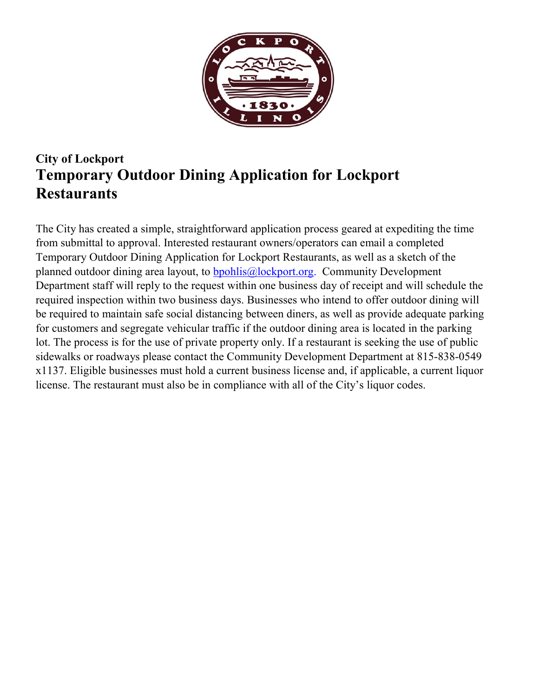

## **City of Lockport Temporary Outdoor Dining Application for Lockport Restaurants**

The City has created a simple, straightforward application process geared at expediting the time from submittal to approval. Interested restaurant owners/operators can email a completed Temporary Outdoor Dining Application for Lockport Restaurants, as well as a sketch of the planned outdoor dining area layout, to bpohlis@lockport.org. Community Development Department staff will reply to the request within one business day of receipt and will schedule the required inspection within two business days. Businesses who intend to offer outdoor dining will be required to maintain safe social distancing between diners, as well as provide adequate parking for customers and segregate vehicular traffic if the outdoor dining area is located in the parking lot. The process is for the use of private property only. If a restaurant is seeking the use of public sidewalks or roadways please contact the Community Development Department at 815-838-0549 x1137. Eligible businesses must hold a current business license and, if applicable, a current liquor license. The restaurant must also be in compliance with all of the City's liquor codes.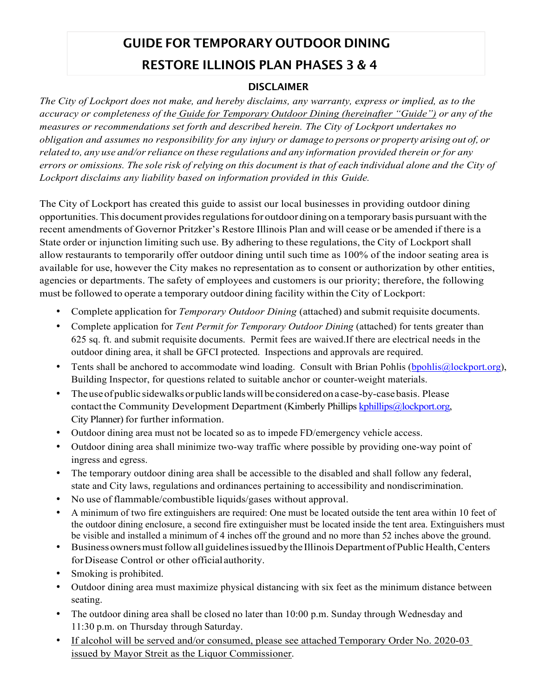# **GUIDE FOR TEMPORARY OUTDOOR DINING RESTORE ILLINOIS PLAN PHASES 3 & 4**

#### **DISCLAIMER**

*The City of Lockport does not make, and hereby disclaims, any warranty, express or implied, as to the accuracy or completeness of the Guide for Temporary Outdoor Dining (hereinafter "Guide") or any of the measures or recommendations set forth and described herein. The City of Lockport undertakes no obligation and assumes no responsibility for any injury or damage to persons or property arising out of, or related to, any use and/or reliance on these regulations and any information provided therein or for any errors or omissions. The sole risk of relying on this document is that of each individual alone and the City of Lockport disclaims any liability based on information provided in this Guide.*

The City of Lockport has created this guide to assist our local businesses in providing outdoor dining opportunities. This document provides regulations for outdoor dining on a temporary basis pursuant with the recent amendments of Governor Pritzker's Restore Illinois Plan and will cease or be amended if there is a State order or injunction limiting such use. By adhering to these regulations, the City of Lockport shall allow restaurants to temporarily offer outdoor dining until such time as 100% of the indoor seating area is available for use, however the City makes no representation as to consent or authorization by other entities, agencies or departments. The safety of employees and customers is our priority; therefore, the following must be followed to operate a temporary outdoor dining facility within the City of Lockport:

- Complete application for *Temporary Outdoor Dining* (attached) and submit requisite documents.
- Complete application for *Tent Permit for Temporary Outdoor Dining* (attached) for tents greater than 625 sq. ft. and submit requisite documents. Permit fees are waived.If there are electrical needs in the outdoor dining area, it shall be GFCI protected. Inspections and approvals are required.
- Tents shall be anchored to accommodate wind loading. Consult with Brian Pohlis (bpohlis  $\omega$ lockport.org), Building Inspector, for questions related to suitable anchor or counter-weight materials.
- The use of public sidewalks or public lands will be considered on a case-by-case basis. Please contact the Community Development Department (Kimberly Phillips kphillips @lockport.org, City Planner) for further information.
- Outdoor dining area must not be located so as to impede FD/emergency vehicle access.
- Outdoor dining area shall minimize two-way traffic where possible by providing one-way point of ingress and egress.
- The temporary outdoor dining area shall be accessible to the disabled and shall follow any federal, state and City laws, regulations and ordinances pertaining to accessibility and nondiscrimination.
- No use of flammable/combustible liquids/gases without approval.
- A minimum of two fire extinguishers are required: One must be located outside the tent area within 10 feet of the outdoor dining enclosure, a second fire extinguisher must be located inside the tent area. Extinguishers must be visible and installed a minimum of 4 inches off the ground and no more than 52 inches above the ground.
- Business owners must follow all guidelines issued by the Illinois Department of Public Health, Centers for Disease Control or other official authority.
- Smoking is prohibited.
- Outdoor dining area must maximize physical distancing with six feet as the minimum distance between seating.
- The outdoor dining area shall be closed no later than 10:00 p.m. Sunday through Wednesday and 11:30 p.m. on Thursday through Saturday.
- If alcohol will be served and/or consumed, please see attached Temporary Order No. 2020-03 issued by Mayor Streit as the Liquor Commissioner.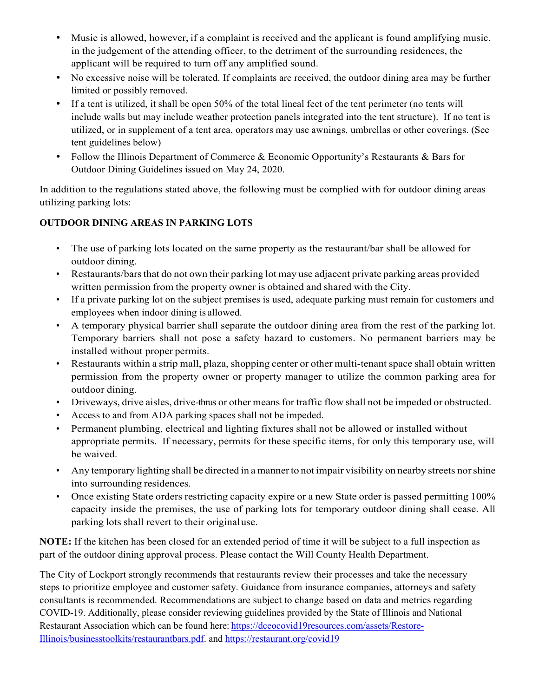- Music is allowed, however, if a complaint is received and the applicant is found amplifying music, in the judgement of the attending officer, to the detriment of the surrounding residences, the applicant will be required to turn off any amplified sound.
- No excessive noise will be tolerated. If complaints are received, the outdoor dining area may be further limited or possibly removed.
- If a tent is utilized, it shall be open 50% of the total lineal feet of the tent perimeter (no tents will include walls but may include weather protection panels integrated into the tent structure). If no tent is utilized, or in supplement of a tent area, operators may use awnings, umbrellas or other coverings. (See tent guidelines below)
- Follow the Illinois Department of Commerce & Economic Opportunity's Restaurants & Bars for Outdoor Dining Guidelines issued on May 24, 2020.

In addition to the regulations stated above, the following must be complied with for outdoor dining areas utilizing parking lots:

#### **OUTDOOR DINING AREAS IN PARKING LOTS**

- The use of parking lots located on the same property as the restaurant/bar shall be allowed for outdoor dining.
- Restaurants/bars that do not own their parking lot may use adjacent private parking areas provided written permission from the property owner is obtained and shared with the City.
- If a private parking lot on the subject premises is used, adequate parking must remain for customers and employees when indoor dining is allowed.
- A temporary physical barrier shall separate the outdoor dining area from the rest of the parking lot. Temporary barriers shall not pose a safety hazard to customers. No permanent barriers may be installed without proper permits.
- Restaurants within a strip mall, plaza, shopping center or other multi-tenant space shall obtain written permission from the property owner or property manager to utilize the common parking area for outdoor dining.
- Driveways, drive aisles, drive-thrus or other means for traffic flow shall not be impeded or obstructed.
- Access to and from ADA parking spaces shall not be impeded.
- Permanent plumbing, electrical and lighting fixtures shall not be allowed or installed without appropriate permits. If necessary, permits for these specific items, for only this temporary use, will be waived.
- Any temporary lighting shall be directed in a manner to not impair visibility on nearby streets nor shine into surrounding residences.
- Once existing State orders restricting capacity expire or a new State order is passed permitting 100% capacity inside the premises, the use of parking lots for temporary outdoor dining shall cease. All parking lots shall revert to their original use.

**NOTE:** If the kitchen has been closed for an extended period of time it will be subject to a full inspection as part of the outdoor dining approval process. Please contact the Will County Health Department.

The City of Lockport strongly recommends that restaurants review their processes and take the necessary steps to prioritize employee and customer safety. Guidance from insurance companies, attorneys and safety consultants is recommended. Recommendations are subject to change based on data and metrics regarding COVID-19. Additionally, please consider reviewing guidelines provided by the State of Illinois and National Restaurant Association which can be found here: https://dceocovid19resources.com/assets/Restore-Illinois/businesstoolkits/restaurantbars.pdf. and https://restaurant.org/covid19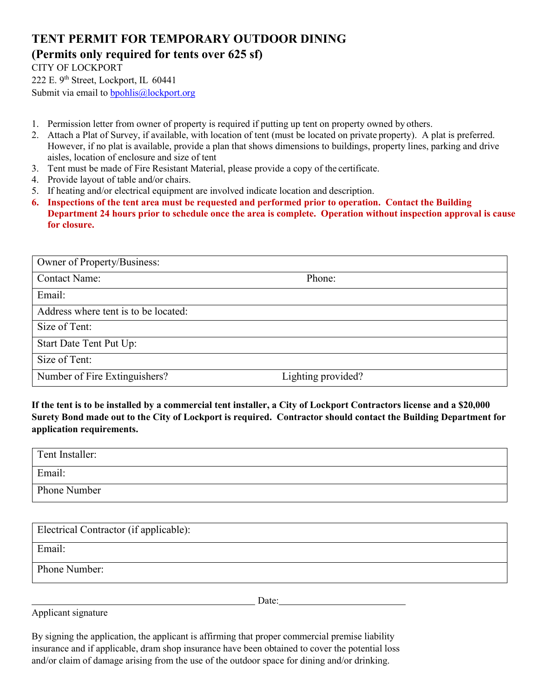## **TENT PERMIT FOR TEMPORARY OUTDOOR DINING**

### **(Permits only required for tents over 625 sf)**

### CITY OF LOCKPORT

222 E. 9<sup>th</sup> Street, Lockport, IL 60441

Submit via email to bpohlis@lockport.org

- 1. Permission letter from owner of property is required if putting up tent on property owned by others.
- 2. Attach a Plat of Survey, if available, with location of tent (must be located on private property). A plat is preferred. However, if no plat is available, provide a plan that shows dimensions to buildings, property lines, parking and drive aisles, location of enclosure and size of tent
- 3. Tent must be made of Fire Resistant Material, please provide a copy of the certificate.
- 4. Provide layout of table and/or chairs.
- 5. If heating and/or electrical equipment are involved indicate location and description.
- **6. Inspections of the tent area must be requested and performed prior to operation. Contact the Building Department 24 hours prior to schedule once the area is complete. Operation without inspection approval is cause for closure.**

| Owner of Property/Business:          |                    |
|--------------------------------------|--------------------|
| <b>Contact Name:</b>                 | Phone:             |
| Email:                               |                    |
| Address where tent is to be located: |                    |
| Size of Tent:                        |                    |
| Start Date Tent Put Up:              |                    |
| Size of Tent:                        |                    |
| Number of Fire Extinguishers?        | Lighting provided? |

**If the tent is to be installed by a commercial tent installer, a City of Lockport Contractors license and a \$20,000 Surety Bond made out to the City of Lockport is required. Contractor should contact the Building Department for application requirements.** 

| Tent Installer: |  |
|-----------------|--|
| Email:          |  |
| Phone Number    |  |

| Electrical Contractor (if applicable): |
|----------------------------------------|
| Email:                                 |
| Phone Number:                          |

Applicant signature

By signing the application, the applicant is affirming that proper commercial premise liability insurance and if applicable, dram shop insurance have been obtained to cover the potential loss and/or claim of damage arising from the use of the outdoor space for dining and/or drinking.

**Date:** Date: